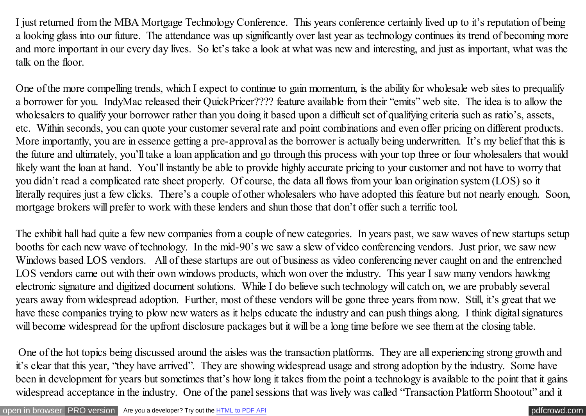I just returned from the MBA Mortgage Technology Conference. This years conference certainly lived up to it's reputation of being a looking glass into our future. The attendance was up significantly over last year as technology continues its trend of becoming more and more important in our every day lives. So let's take a look at what was new and interesting, and just as important, what was the talk on the floor.

One of the more compelling trends, which I expect to continue to gain momentum, is the ability for wholesale web sites to prequalify a borrower for you. IndyMac released their QuickPricer???? feature available from their "emits" web site. The idea is to allow the wholesalers to qualify your borrower rather than you doing it based upon a difficult set of qualifying criteria such as ratio's, assets, etc. Within seconds, you can quote your customer several rate and point combinations and even offer pricing on different products. More importantly, you are in essence getting a pre-approval as the borrower is actually being underwritten. It's my belief that this is the future and ultimately, you'll take a loan application and go through this process with your top three or four wholesalers that would likely want the loan at hand. You'll instantly be able to provide highly accurate pricing to your customer and not have to worry that you didn't read a complicated rate sheet properly. Of course, the data all flows from your loan origination system (LOS) so it literally requires just a few clicks. There's a couple of other wholesalers who have adopted this feature but not nearly enough. Soon, mortgage brokers will prefer to work with these lenders and shun those that don't offer such a terrific tool.

The exhibit hall had quite a few new companies from a couple of new categories. In years past, we saw waves of new startups setup booths for each new wave of technology. In the mid-90's we saw a slew of video conferencing vendors. Just prior, we saw new Windows based LOS vendors. All of these startups are out of business as video conferencing never caught on and the entrenched LOS vendors came out with their own windows products, which won over the industry. This year I saw many vendors hawking electronic signature and digitized document solutions. While I do believe such technology will catch on, we are probably several years away from widespread adoption. Further, most of these vendors will be gone three years from now. Still, it's great that we have these companies trying to plow new waters as it helps educate the industry and can push things along. I think digital signatures will become widespread for the upfront disclosure packages but it will be a long time before we see them at the closing table.

One of the hot topics being discussed around the aisles was the transaction platforms. They are all experiencing strong growth and it's clear that this year, "they have arrived". They are showing widespread usage and strong adoption by the industry. Some have been in development for years but sometimes that's how long it takes from the point a technology is available to the point that it gains widespread acceptance in the industry. One of the panel sessions that was lively was called "Transaction Platform Shootout" and it